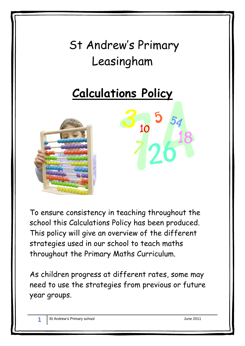# St Andrew's Primary Leasingham

# **Calculations Policy**



To ensure consistency in teaching throughout the school this Calculations Policy has been produced. This policy will give an overview of the different strategies used in our school to teach maths throughout the Primary Maths Curriculum.

As children progress at different rates, some may need to use the strategies from previous or future year groups.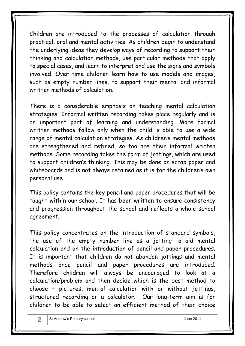Children are introduced to the processes of calculation through practical, oral and mental activities. As children begin to understand the underlying ideas they develop ways of recording to support their thinking and calculation methods, use particular methods that apply to special cases, and learn to interpret and use the signs and symbols involved. Over time children learn how to use models and images, such as empty number lines, to support their mental and informal written methods of calculation.

There is a considerable emphasis on teaching mental calculation strategies. Informal written recording takes place regularly and is an important part of learning and understanding. More formal written methods follow only when the child is able to use a wide range of mental calculation strategies. As children's mental methods are strengthened and refined, so too are their informal written methods. Some recording takes the form of jottings, which are used to support children's thinking. This may be done on scrap paper and whiteboards and is not always retained as it is for the children's own personal use.

This policy contains the key pencil and paper procedures that will be taught within our school. It has been written to ensure consistency and progression throughout the school and reflects a whole school agreement.

This policy concentrates on the introduction of standard symbols, the use of the empty number line as a jotting to aid mental calculation and on the introduction of pencil and paper procedures. It is important that children do not abandon jottings and mental methods once pencil and paper procedures are introduced. Therefore children will always be encouraged to look at a calculation/problem and then decide which is the best method to choose – pictures, mental calculation with or without jottings, structured recording or a calculator. Our long-term aim is for children to be able to select an efficient method of their choice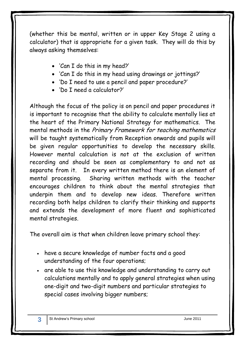(whether this be mental, written or in upper Key Stage 2 using a calculator) that is appropriate for a given task. They will do this by always asking themselves:

- 'Can I do this in my head?'
- 'Can I do this in my head using drawings or jottings?'
- 'Do I need to use a pencil and paper procedure?'
- 'Do I need a calculator?'

Although the focus of the policy is on pencil and paper procedures it is important to recognise that the ability to calculate mentally lies at the heart of the Primary National Strategy for mathematics. The mental methods in the Primary Framework for teaching mathematics will be taught systematically from Reception onwards and pupils will be given regular opportunities to develop the necessary skills. However mental calculation is not at the exclusion of written recording and should be seen as complementary to and not as separate from it. In every written method there is an element of mental processing. Sharing written methods with the teacher encourages children to think about the mental strategies that underpin them and to develop new ideas. Therefore written recording both helps children to clarify their thinking and supports and extends the development of more fluent and sophisticated mental strategies.

The overall aim is that when children leave primary school they:

- have a secure knowledge of number facts and a good understanding of the four operations;
- are able to use this knowledge and understanding to carry out calculations mentally and to apply general strategies when using one-digit and two-digit numbers and particular strategies to special cases involving bigger numbers;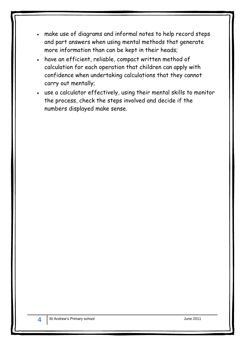- make use of diagrams and informal notes to help record steps and part answers when using mental methods that generate more information than can be kept in their heads;
- have an efficient, reliable, compact written method of calculation for each operation that children can apply with confidence when undertaking calculations that they cannot carry out mentally;
- use a calculator effectively, using their mental skills to monitor the process, check the steps involved and decide if the numbers displayed make sense.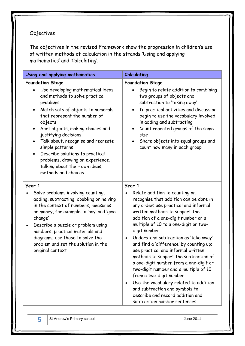## **Objectives**

The objectives in the revised Framework show the progression in children's use of written methods of calculation in the strands 'Using and applying mathematics' and 'Calculating'.

|                                                                                                                                                                                                                                                                                                                                                                                                                                                              | Calculating                                                                                                                                                                                                                                                                                                                                                                                                                                                                                                                                                                                                                                                                                                  |
|--------------------------------------------------------------------------------------------------------------------------------------------------------------------------------------------------------------------------------------------------------------------------------------------------------------------------------------------------------------------------------------------------------------------------------------------------------------|--------------------------------------------------------------------------------------------------------------------------------------------------------------------------------------------------------------------------------------------------------------------------------------------------------------------------------------------------------------------------------------------------------------------------------------------------------------------------------------------------------------------------------------------------------------------------------------------------------------------------------------------------------------------------------------------------------------|
| Using and applying mathematics                                                                                                                                                                                                                                                                                                                                                                                                                               |                                                                                                                                                                                                                                                                                                                                                                                                                                                                                                                                                                                                                                                                                                              |
| <b>Foundation Stage</b><br>Use developing mathematical ideas<br>and methods to solve practical<br>problems<br>Match sets of objects to numerals<br>that represent the number of<br>objects<br>Sort objects, making choices and<br>$\bullet$<br>justifying decisions<br>Talk about, recognise and recreate<br>simple patterns<br>Describe solutions to practical<br>problems, drawing on experience,<br>talking about their own ideas,<br>methods and choices | <b>Foundation Stage</b><br>Begin to relate addition to combining<br>two groups of objects and<br>subtraction to 'taking away'<br>In practical activities and discussion<br>$\bullet$<br>begin to use the vocabulary involved<br>in adding and subtracting<br>Count repeated groups of the same<br>$\bullet$<br>size<br>Share objects into equal groups and<br>count how many in each group                                                                                                                                                                                                                                                                                                                   |
| Year 1<br>Solve problems involving counting,<br>adding, subtracting, doubling or halving<br>in the context of numbers, measures<br>or money, for example to 'pay' and 'give<br>change'<br>Describe a puzzle or problem using<br>$\bullet$<br>numbers, practical materials and<br>diagrams; use these to solve the<br>problem and set the solution in the<br>original context                                                                                 | Year 1<br>Relate addition to counting on;<br>recognise that addition can be done in<br>any order; use practical and informal<br>written methods to support the<br>addition of a one-digit number or a<br>multiple of 10 to a one-digit or two-<br>digit number<br>Understand subtraction as 'take away'<br>and find a 'difference' by counting up;<br>use practical and informal written<br>methods to support the subtraction of<br>a one-digit number from a one-digit or<br>two-digit number and a multiple of 10<br>from a two-digit number<br>Use the vocabulary related to addition<br>$\bullet$<br>and subtraction and symbols to<br>describe and record addition and<br>subtraction number sentences |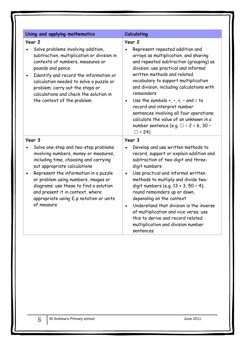| Using and applying mathematics                                                                                                                                                                                                                                                                                                                                                            | <b>Calculating</b>                                                                                                                                                                                                                                                                                                                                                                                                                                                                                                                                               |
|-------------------------------------------------------------------------------------------------------------------------------------------------------------------------------------------------------------------------------------------------------------------------------------------------------------------------------------------------------------------------------------------|------------------------------------------------------------------------------------------------------------------------------------------------------------------------------------------------------------------------------------------------------------------------------------------------------------------------------------------------------------------------------------------------------------------------------------------------------------------------------------------------------------------------------------------------------------------|
| Year 2<br>Solve problems involving addition,<br>subtraction, multiplication or division in<br>contexts of numbers, measures or<br>pounds and pence<br>Identify and record the information or<br>$\bullet$<br>calculation needed to solve a puzzle or<br>problem; carry out the steps or<br>calculations and check the solution in<br>the context of the problem                           | Year <sub>2</sub><br>Represent repeated addition and<br>arrays as multiplication, and sharing<br>and repeated subtraction (grouping) as<br>division; use practical and informal<br>written methods and related<br>vocabulary to support multiplication<br>and division, including calculations with<br>remainders<br>Use the symbols $+, -, x, \div$ and = to<br>$\bullet$<br>record and interpret number<br>sentences involving all four operations;<br>calculate the value of an unknown in a<br>number sentence (e.g. $\Box$ ÷ 2 = 6, 30 -<br>$\square$ = 24) |
| Year 3<br>Solve one-step and two-step problems<br>involving numbers, money or measures,<br>including time, choosing and carrying<br>out appropriate calculations<br>Represent the information in a puzzle<br>or problem using numbers, images or<br>diagrams; use these to find a solution<br>and present it in context, where<br>appropriate using $E.p$ notation or units<br>of measure | Year 3<br>Develop and use written methods to<br>record, support or explain addition and<br>subtraction of two-digit and three-<br>digit numbers<br>Use practical and informal written<br>$\bullet$<br>methods to multiply and divide two-<br>digit numbers (e.g. $13 \times 3$ , $50 \div 4$ );<br>round remainders up or down,<br>depending on the context<br>Understand that division is the inverse<br>$\bullet$<br>of multiplication and vice versa; use<br>this to derive and record related<br>multiplication and division number<br>sentences             |

**6**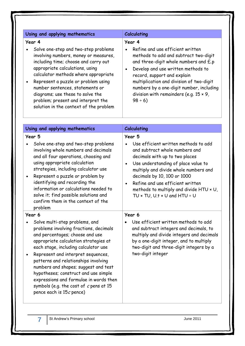#### Using and applying mathematics **Calculating**

#### **Year 4**

- Solve one-step and two-step problems involving numbers, money or measures, including time; choose and carry out appropriate calculations, using calculator methods where appropriate
- Represent a puzzle or problem using number sentences, statements or diagrams; use these to solve the problem; present and interpret the solution in the context of the problem

#### **Year 4**

- Refine and use efficient written methods to add and subtract two-digit and three-digit whole numbers and £.p
- Develop and use written methods to record, support and explain multiplication and division of two-digit numbers by a one-digit number, including division with remainders (e.g. 15 × 9,  $98 \div 6$ )

| Using and applying mathematics                                                                                                                                                                                                                                                                                                                                                                                                                                                          | <b>Calculating</b>                                                                                                                                                                                                                                                                                                                                               |
|-----------------------------------------------------------------------------------------------------------------------------------------------------------------------------------------------------------------------------------------------------------------------------------------------------------------------------------------------------------------------------------------------------------------------------------------------------------------------------------------|------------------------------------------------------------------------------------------------------------------------------------------------------------------------------------------------------------------------------------------------------------------------------------------------------------------------------------------------------------------|
| Year 5                                                                                                                                                                                                                                                                                                                                                                                                                                                                                  | Year 5                                                                                                                                                                                                                                                                                                                                                           |
| Solve one-step and two-step problems<br>involving whole numbers and decimals<br>and all four operations, choosing and<br>using appropriate calculation<br>strategies, including calculator use<br>Represent a puzzle or problem by<br>identifying and recording the<br>information or calculations needed to<br>solve it; find possible solutions and<br>confirm them in the context of the<br>problem                                                                                  | Use efficient written methods to add<br>and subtract whole numbers and<br>decimals with up to two places<br>Use understanding of place value to<br>$\bullet$<br>multiply and divide whole numbers and<br>decimals by 10, 100 or 1000<br>Refine and use efficient written<br>$\bullet$<br>methods to multiply and divide HTU x U,<br>TU × TU, U.t × U and HTU ÷ U |
| Year 6                                                                                                                                                                                                                                                                                                                                                                                                                                                                                  | Year 6                                                                                                                                                                                                                                                                                                                                                           |
| Solve multi-step problems, and<br>problems involving fractions, decimals<br>and percentages; choose and use<br>appropriate calculation strategies at<br>each stage, including calculator use<br>Represent and interpret sequences,<br>$\bullet$<br>patterns and relationships involving<br>numbers and shapes; suggest and test<br>hypotheses; construct and use simple<br>expressions and formulae in words then<br>symbols (e.g. the cost of c pens at 15<br>pence each is 15c pence) | Use efficient written methods to add<br>and subtract integers and decimals, to<br>multiply and divide integers and decimals<br>by a one-digit integer, and to multiply<br>two-digit and three-digit integers by a<br>two-digit integer                                                                                                                           |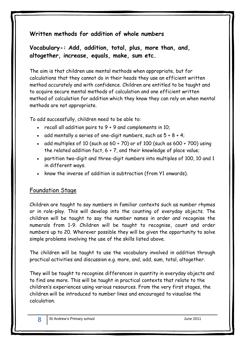# **Written methods for addition of whole numbers**

**Vocabulary-: Add, addition, total, plus, more than, and, altogether, increase, equals, make, sum etc.**

The aim is that children use mental methods when appropriate, but for calculations that they cannot do in their heads they use an efficient written method accurately and with confidence. Children are entitled to be taught and to acquire secure mental methods of calculation and one efficient written method of calculation for addition which they know they can rely on when mental methods are not appropriate.

To add successfully, children need to be able to:

- recall all addition pairs to  $9 + 9$  and complements in 10;
- add mentally a series of one-digit numbers, such as  $5 + 8 + 4$ ;
- add multiples of 10 (such as  $60 + 70$ ) or of 100 (such as  $600 + 700$ ) using the related addition fact, 6 + 7, and their knowledge of place value;
- partition two-digit and three-digit numbers into multiples of 100, 10 and 1 in different ways.
- know the inverse of addition is subtraction (from Y1 onwards).

#### Foundation Stage

Children are taught to say numbers in familiar contexts such as number rhymes or in role-play. This will develop into the counting of everyday objects. The children will be taught to say the number names in order and recognise the numerals from 1-9. Children will be taught to recognise, count and order numbers up to 20. Wherever possible they will be given the opportunity to solve simple problems involving the use of the skills listed above.

The children will be taught to use the vocabulary involved in addition through practical activities and discussion e.g. more, and, add, sum, total, altogether.

They will be taught to recognise differences in quantity in everyday objects and to find one more. This will be taught in practical contexts that relate to the children's experiences using various resources. From the very first stages, the children will be introduced to number lines and encouraged to visualise the calculation.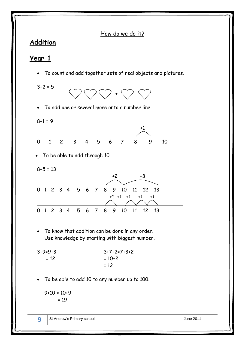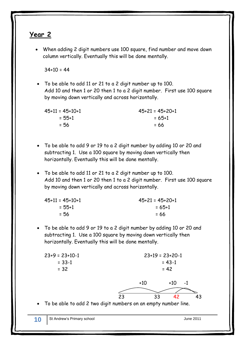# **Year 2**

 When adding 2 digit numbers use 100 square, find number and move down column vertically. Eventually this will be done mentally.

 $34+10 = 44$ 

 To be able to add 11 or 21 to a 2 digit number up to 100. Add 10 and then 1 or 20 then 1 to a 2 digit number. First use 100 square by moving down vertically and across horizontally.

| 45+11 = 45+10+1 | $45+21 = 45+20+1$ |
|-----------------|-------------------|
| = 55+1          | $= 65 + 1$        |
| $= 56$          | $= 66$            |

- To be able to add 9 or 19 to a 2 digit number by adding 10 or 20 and subtracting 1. Use a 100 square by moving down vertically then horizontally. Eventually this will be done mentally.
- To be able to add 11 or 21 to a 2 digit number up to 100. Add 10 and then 1 or 20 then 1 to a 2 digit number. First use 100 square by moving down vertically and across horizontally.

| $45+11 = 45+10+1$ | $45+21 = 45+20+1$ |
|-------------------|-------------------|
| = 55+1            | $= 65 + 1$        |
| $= 56$            | $= 66$            |

 To be able to add 9 or 19 to a 2 digit number by adding 10 or 20 and subtracting 1. Use a 100 square by moving down vertically then horizontally. Eventually this will be done mentally.

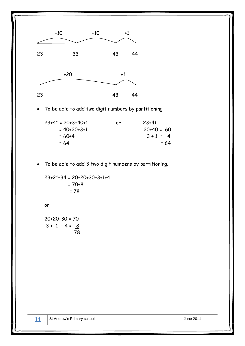

To be able to add two digit numbers by partitioning

| $23+41 = 20+3+40+1$ | or | $23+41$      |
|---------------------|----|--------------|
| $= 40+20+3+1$       |    | $20+40 = 60$ |
| $= 60+4$            |    | $3 + 1 = 4$  |
| $= 64$              |    | $= 64$       |
|                     |    |              |

To be able to add 3 two digit numbers by partitioning.

23+21+34 = 20+20+30+3+1+4  $= 70+8$ = 78

or

 $20+20+30 = 70$  $3 + 1 + 4 = 8$ 78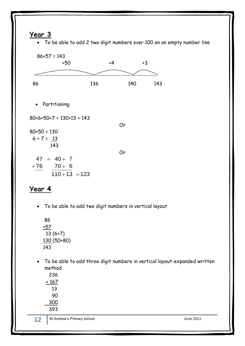# **Year 3**

To be able to add 2 two digit numbers over 100 on an empty number line



# **Year 4**

To be able to add two digit numbers in vertical layout

86 +57 13 (6+7)  $-130(50+80)$ 143

 To be able to add three digit numbers in vertical layout-expanded written method

| 236   |
|-------|
| + 167 |
| 13.   |
| 90    |
| 300   |
| 393   |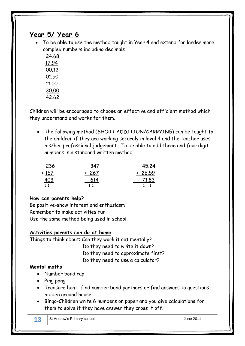# **Year 5/ Year 6**

 To be able to use the method taught in Year 4 and extend for larder more complex numbers including decimals

 24.68 +17.94 00.12 01.50 11.00 30.00 42.62

Children will be encouraged to choose an effective and efficient method which they understand and works for them.

 The following method (SHORT ADDITION/CARRYING) can be taught to the children if they are working securely in level 4 and the teacher uses his/her professional judgement. To be able to add three and four digit numbers in a standard written method.

| 236                  | 347    | 45.24    |
|----------------------|--------|----------|
| $+167$               | $+267$ | $+26.59$ |
| 403<br>$\sim$ $\sim$ | 614    | 71.83    |
| $1 \t1$              | 11     |          |

#### **How can parents help?**

Be positive-show interest and enthusiasm Remember to make activities fun! Use the same method being used in school.

#### **Activities parents can do at home**

Things to think about: Can they work it out mentally? Do they need to write it down? Do they need to approximate first? Do they need to use a calculator?

#### **Mental maths**

- Number bond rap
- Ping pong
- Treasure hunt -find number bond partners or find answers to questions hidden around house.
- Bingo-Children write 6 numbers on paper and you give calculations for them to solve if they have answer they cross it off.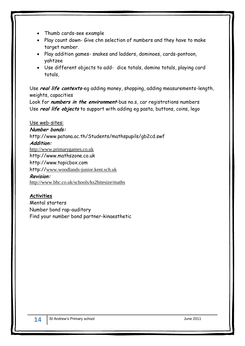- Thumb cards-see example
- Play count down- Give chn selection of numbers and they have to make target number.
- Play addition games- snakes and ladders, dominoes, cards-pontoon, yahtzee
- Use different objects to add- dice totals, domino totals, playing card totals,

Use **real life contexts**-eg adding money, shopping, adding measurements-length, weights, capacities

Look for **numbers in the environment**-bus no.s, car registrations numbers Use **real life objects** to support with adding eg pasta, buttons, coins, lego

Use web-sites: **Number bonds:** http://www.patana.ac.th/Students/mathspupils/gb2cd.swf **Addition:** [http://www.primarygames.co.uk](http://www.primarygames.co.uk/) http://www.mathszone.co.uk http://www.topicbox.com http://[www.woodlands-junior.kent.sch.uk](http://www.woodlands-junior.kent.sch.uk/) **Revision:** <http://www.bbc.co.uk/schools/ks2bitesize/maths>

#### **Activities**

Mental starters Number bond rap-auditory Find your number bond partner-kinaesthetic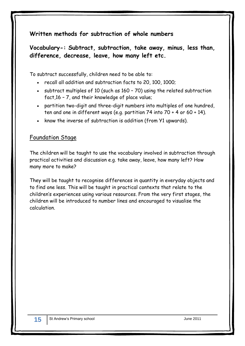# **Written methods for subtraction of whole numbers**

# **Vocabulary-: Subtract, subtraction, take away, minus, less than, difference, decrease, leave, how many left etc.**

To subtract successfully, children need to be able to:

- recall all addition and subtraction facts to 20, 100, 1000;
- subtract multiples of 10 (such as 160 70) using the related subtraction fact,16 – 7, and their knowledge of place value;
- partition two-digit and three-digit numbers into multiples of one hundred, ten and one in different ways (e.g. partition 74 into 70 + 4 or 60 + 14).
- know the inverse of subtraction is addition (from Y1 upwards).

#### Foundation Stage

The children will be taught to use the vocabulary involved in subtraction through practical activities and discussion e.g. take away, leave, how many left? How many more to make?

They will be taught to recognise differences in quantity in everyday objects and to find one less. This will be taught in practical contexts that relate to the children's experiences using various resources. From the very first stages, the children will be introduced to number lines and encouraged to visualise the calculation.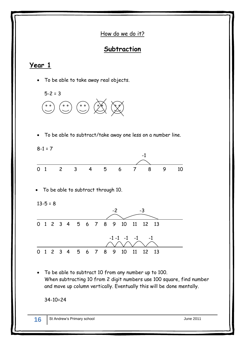How do we do it?

# **Subtraction**

# **Year 1**

To be able to take away real objects.



To be able to subtract/take away one less on a number line.

 $8-1 = 7$ 



To be able to subtract through 10.

$$
13 - 5 = 8
$$



 To be able to subtract 10 from any number up to 100. When subtracting 10 from 2 digit numbers use 100 square, find number and move up column vertically. Eventually this will be done mentally.

34-10=24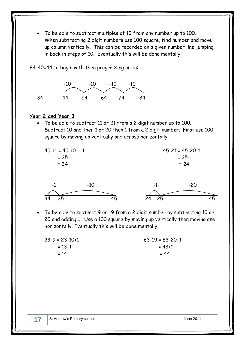To be able to subtract multiples of 10 from any number up to 100. When subtracting 2 digit numbers use 100 square, find number and move up column vertically. This can be recorded on a given number line jumping in back in steps of 10. Eventually this will be done mentally.

84-40=44 to begin with then progressing on to:



#### **Year 2 and Year 3**

 To be able to subtract 11 or 21 from a 2 digit number up to 100. Subtract 10 and then 1 or 20 then 1 from a 2 digit number. First use 100 square by moving up vertically and across horizontally.





 To be able to subtract 9 or 19 from a 2 digit number by subtracting 10 or 20 and adding 1. Use a 100 square by moving up vertically then moving one horizontally. Eventually this will be done mentally.

| $23-9 = 23-10+1$ | $63-19 = 63-20+1$ |
|------------------|-------------------|
| $= 13 + 1$       | = 43+1            |
| $= 14$           | $= 44$            |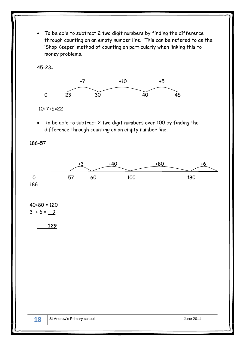To be able to subtract 2 two digit numbers by finding the difference through counting on an empty number line. This can be refered to as the 'Shop Keeper' method of counting on particularly when linking this to money problems.

45-23=



10+7+5=22

 To be able to subtract 2 two digit numbers over 100 by finding the difference through counting on an empty number line.

186-57

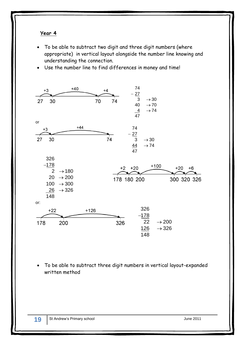#### **Year 4**

- To be able to subtract two digit and three digit numbers (where appropriate) in vertical layout alongside the number line knowing and understanding the connection.
- Use the number line to find differences in money and time!



 To be able to subtract three digit numbers in vertical layout-expanded written method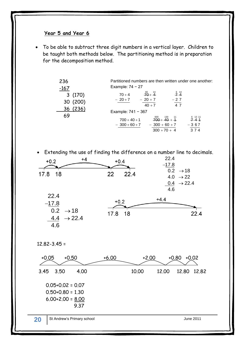#### **Year 5 and Year 6**

 To be able to subtract three digit numbers in a vertical layer. Children to be taught both methods below. The partitioning method is in preparation for the decomposition method.

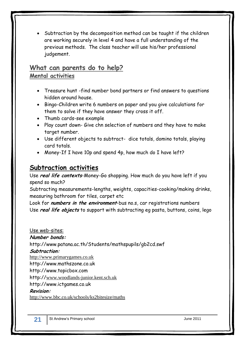• Subtraction by the decomposition method can be taught if the children are working securely in level 4 and have a full understanding of the previous methods. The class teacher will use his/her professional judgement.

# **What can parents do to help? Mental activities**

- Treasure hunt -find number bond partners or find answers to questions hidden around house.
- Bingo-Children write 6 numbers on paper and you give calculations for them to solve if they have answer they cross it off.
- Thumb cards-see example
- Play count down- Give chn selection of numbers and they have to make target number.
- Use different objects to subtract- dice totals, domino totals, playing card totals.
- Money-If I have 10p and spend 4p, how much do I have left?

# **Subtraction activities**

Use **real life contexts**-Money-Go shopping. How much do you have left if you spend so much?

Subtracting measurements-lengths, weights, capacities-cooking/making drinks, measuring bathroom for tiles, carpet etc

Look for **numbers in the environment**-bus no.s, car registrations numbers Use **real life objects** to support with subtracting eg pasta, buttons, coins, lego

Use web-sites: **Number bonds:**

http://www.patana.ac.th/Students/mathspupils/gb2cd.swf

**Subtraction:**

[http://www.primarygames.co.uk](http://www.primarygames.co.uk/)

http://www.mathszone.co.uk

http://www.topicbox.com

http://[www.woodlands-junior.kent.sch.uk](http://www.woodlands-junior.kent.sch.uk/)

http://www.ictgames.co.uk

#### **Revision:**

<http://www.bbc.co.uk/schools/ks2bitesize/maths>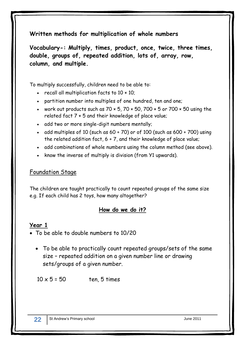# **Written methods for multiplication of whole numbers**

**Vocabulary-: Multiply, times, product, once, twice, three times, double, groups of, repeated addition, lots of, array, row, column, and multiple.**

To multiply successfully, children need to be able to:

- $\cdot$  recall all multiplication facts to 10  $\times$  10;
- partition number into multiples of one hundred, ten and one;
- work out products such as  $70 \times 5$ ,  $70 \times 50$ ,  $700 \times 5$  or  $700 \times 50$  using the related fact 7 × 5 and their knowledge of place value;
- add two or more single-digit numbers mentally;
- add multiples of 10 (such as  $60 + 70$ ) or of 100 (such as  $600 + 700$ ) using the related addition fact, 6 + 7, and their knowledge of place value;
- add combinations of whole numbers using the column method (see above).
- know the inverse of multiply is division (from Y1 upwards).

#### Foundation Stage

The children are taught practically to count repeated groups of the same size e.g. If each child has 2 toys, how many altogether?

# **How do we do it?**

#### **Year 1**

- To be able to double numbers to 10/20
	- To be able to practically count repeated groups/sets of the same size – repeated addition on a given number line or drawing sets/groups of a given number.

 $10 \times 5 = 50$  ten, 5 times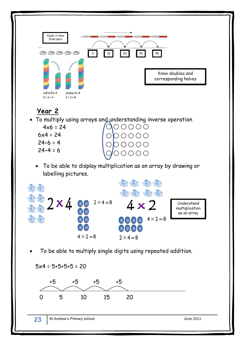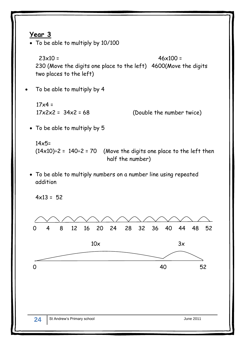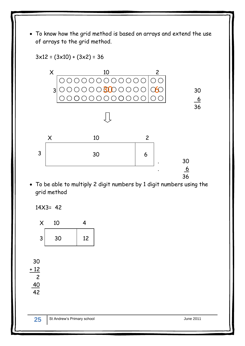To know how the grid method is based on arrays and extend the use of arrays to the grid method.



 To be able to multiply 2 digit numbers by 1 digit numbers using the grid method

14X3= 42



 30  $+12$ 2

40 42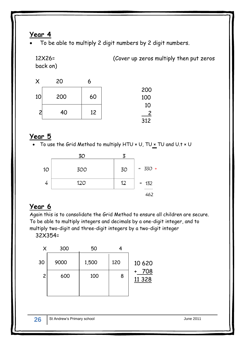# **Year 4**

To be able to multiply 2 digit numbers by 2 digit numbers.

12X26= (Cover up zeros multiply then put zeros back on)

| $\times$ | 20  |    |     |
|----------|-----|----|-----|
|          |     |    | 200 |
| 10       | 200 | 60 | 100 |
|          |     |    | 10  |
|          | 40  | 12 | 2   |
|          |     |    | 312 |

# **Year 5**

To use the Grid Method to multiply HTU × U, TU × TU and U.t × U

|    | 30  |    |           |
|----|-----|----|-----------|
| 10 | 300 | 30 | $= 330 +$ |
|    | 120 | 12 | $= 132$   |
|    |     |    | 462       |

# **Year 6**

Again this is to consolidate the Grid Method to ensure all children are secure. To be able to multiply integers and decimals by a one-digit integer, and to multiply two-digit and three-digit integers by a two-digit integer

32X354=

|                | 300  | 50    |     |                |
|----------------|------|-------|-----|----------------|
| 30             | 9000 | 1,500 | 120 | 10 6 20        |
| $\overline{c}$ | 600  | 100   | 8   | 708<br>11 3 28 |
|                |      |       |     |                |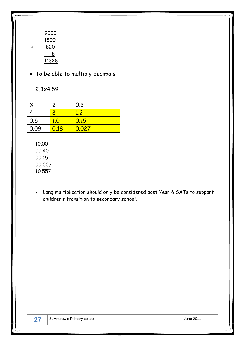- 9000 1500 820 8 11328
- To be able to multiply decimals

2.3x4.59

|      | $\overline{c}$ | 0.3   |
|------|----------------|-------|
|      | 8              | 1.2   |
| 0.5  | 1.0            | 0.15  |
| 0.09 | 0.18           | 0.027 |

10.00 00.40 00.15 00.007 10.557

 Long multiplication should only be considered post Year 6 SATs to support children's transition to secondary school.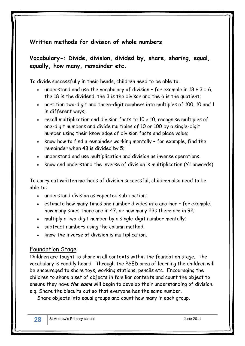# **Written methods for division of whole numbers**

# **Vocabulary-: Divide, division, divided by, share, sharing, equal, equally, how many, remainder etc.**

To divide successfully in their heads, children need to be able to:

- understand and use the vocabulary of division for example in  $18 \div 3 = 6$ , the 18 is the dividend, the 3 is the divisor and the 6 is the quotient;
- partition two-digit and three-digit numbers into multiples of 100, 10 and 1 in different ways;
- recall multiplication and division facts to 10 × 10, recognise multiples of one-digit numbers and divide multiples of 10 or 100 by a single-digit number using their knowledge of division facts and place value;
- $\bullet$  know how to find a remainder working mentally  $\text{-}$  for example, find the remainder when 48 is divided by 5;
- understand and use multiplication and division as inverse operations.
- know and understand the inverse of division is multiplication (Y1 onwards)

To carry out written methods of division successful, children also need to be able to:

- understand division as repeated subtraction;
- estimate how many times one number divides into another for example, how many sixes there are in 47, or how many 23s there are in 92;
- multiply a two-digit number by a single-digit number mentally;
- subtract numbers using the column method.
- know the inverse of division is multiplication.

#### Foundation Stage

Children are taught to share in all contexts within the foundation stage. The vocabulary is readily heard. Through the PSED area of learning the children will be encouraged to share toys, working stations, pencils etc. Encouraging the children to share a set of objects in familiar contexts and count the object to ensure they have **the same** will begin to develop their understanding of division. e.g. Share the biscuits out so that everyone has the same number.

Share objects into equal groups and count how many in each group.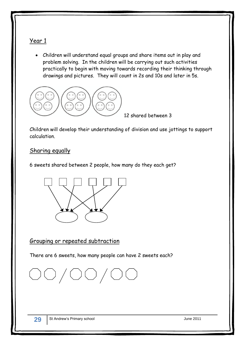#### Year 1

 Children will understand equal groups and share items out in play and problem solving. In the children will be carrying out such activities practically to begin with moving towards recording their thinking through drawings and pictures. They will count in 2s and 10s and later in 5s.



12 shared between 3

Children will develop their understanding of division and use jottings to support calculation.

#### Sharing equally

6 sweets shared between 2 people, how many do they each get?



#### Grouping or repeated subtraction

There are 6 sweets, how many people can have 2 sweets each?

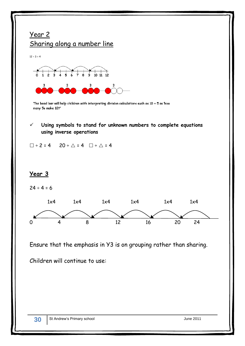



The bead bar will help children with interpreting division calculations such as  $10 \div 5$  as 'how many 5s make 10?'

#### **Using symbols to stand for unknown numbers to complete equations using inverse operations**

 $\square$  ÷ 2 = 4 20 ÷  $\triangle$  = 4  $\square$  ÷  $\triangle$  = 4

#### **Year 3**

 $24 \div 4 = 6$ 



Ensure that the emphasis in Y3 is on grouping rather than sharing.

Children will continue to use: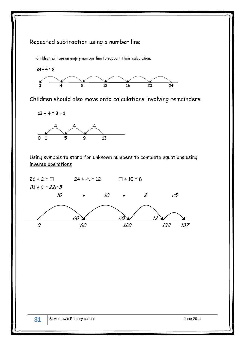# Repeated subtraction using a number line

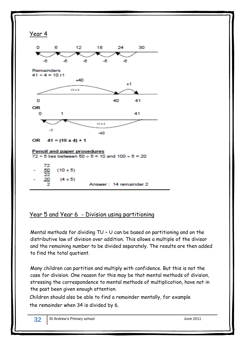

# Year 5 and Year 6 - Division using partitioning

Mental methods for dividing  $TU + U$  can be based on partitioning and on the distributive law of division over addition. This allows a multiple of the divisor and the remaining number to be divided separately. The results are then added to find the total quotient.

Many children can partition and multiply with confidence. But this is not the case for division. One reason for this may be that mental methods of division, stressing the correspondence to mental methods of multiplication, have not in the past been given enough attention.

Children should also be able to find a remainder mentally, for example the remainder when 34 is divided by 6.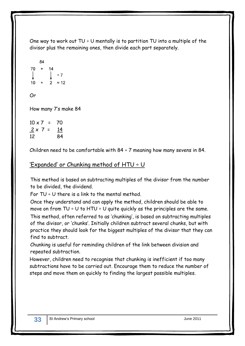One way to work out  $TU \div U$  mentally is to partition TU into a multiple of the divisor plus the remaining ones, then divide each part separately.

$$
\begin{array}{r}\n 84 \\
70 + 14 \\
\downarrow \\
10 + 2 = 12\n \end{array}
$$

Or

How many 7's make 84

 $10 \times 7$  = 70  $2 \times 7 = 14$ 12 84

Children need to be comfortable with  $84 \div 7$  meaning how many sevens in 84.

# 'Expanded' or Chunking method of  $HTU \div U$

This method is based on subtracting multiples of the divisor from the number to be divided, the dividend.

For  $TU + U$  there is a link to the mental method.

Once they understand and can apply the method, children should be able to move on from TU  $\div$  U to HTU  $\div$  U quite quickly as the principles are the same. This method, often referred to as 'chunking', is based on subtracting multiples of the divisor, or 'chunks'. Initially children subtract several chunks, but with practice they should look for the biggest multiples of the divisor that they can find to subtract.

Chunking is useful for reminding children of the link between division and repeated subtraction.

However, children need to recognise that chunking is inefficient if too many subtractions have to be carried out. Encourage them to reduce the number of steps and move them on quickly to finding the largest possible multiples.